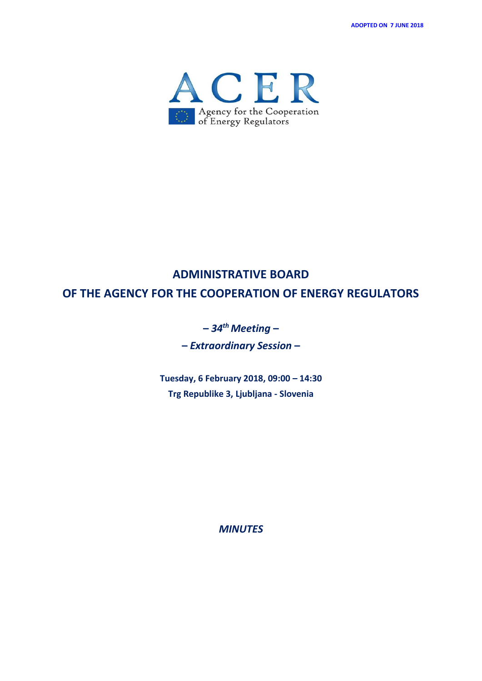**ADOPTED ON 7 JUNE 2018**



# **ADMINISTRATIVE BOARD OF THE AGENCY FOR THE COOPERATION OF ENERGY REGULATORS**

# **–** *34th Meeting* **–**

**–** *Extraordinary Session* **–**

**Tuesday, 6 February 2018, 09:00 – 14:30 Trg Republike 3, Ljubljana - Slovenia** 

*MINUTES*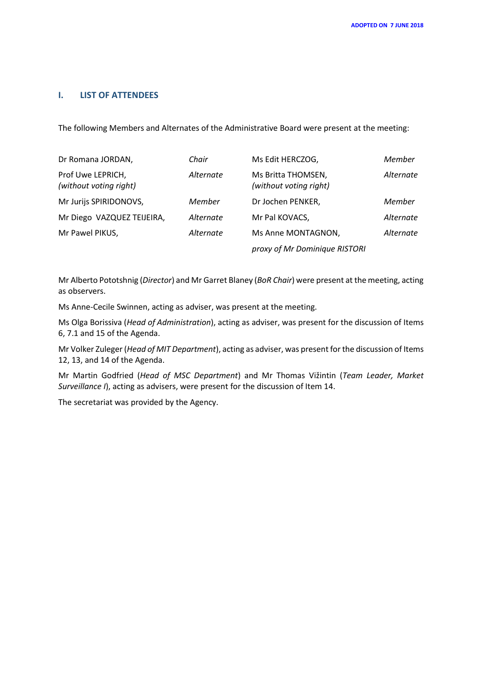# **I. LIST OF ATTENDEES**

The following Members and Alternates of the Administrative Board were present at the meeting:

| Dr Romana JORDAN,                           | Chair     | Ms Edit HERCZOG,                             | Member    |
|---------------------------------------------|-----------|----------------------------------------------|-----------|
| Prof Uwe LEPRICH,<br>(without voting right) | Alternate | Ms Britta THOMSEN,<br>(without voting right) | Alternate |
| Mr Jurijs SPIRIDONOVS,                      | Member    | Dr Jochen PENKER,                            | Member    |
| Mr Diego VAZQUEZ TEIJEIRA,                  | Alternate | Mr Pal KOVACS,                               | Alternate |
| Mr Pawel PIKUS,                             | Alternate | Ms Anne MONTAGNON,                           | Alternate |
|                                             |           | proxy of Mr Dominique RISTORI                |           |

Mr Alberto Pototshnig (*Director*) and Mr Garret Blaney (*BoR Chair*) were present at the meeting, acting as observers.

Ms Anne-Cecile Swinnen, acting as adviser, was present at the meeting.

Ms Olga Borissiva (*Head of Administration*), acting as adviser, was present for the discussion of Items 6, 7.1 and 15 of the Agenda.

Mr Volker Zuleger (*Head of MIT Department*), acting as adviser, was present for the discussion of Items 12, 13, and 14 of the Agenda.

Mr Martin Godfried (*Head of MSC Department*) and Mr Thomas Vižintin (*Team Leader, Market Surveillance I*), acting as advisers, were present for the discussion of Item 14.

The secretariat was provided by the Agency.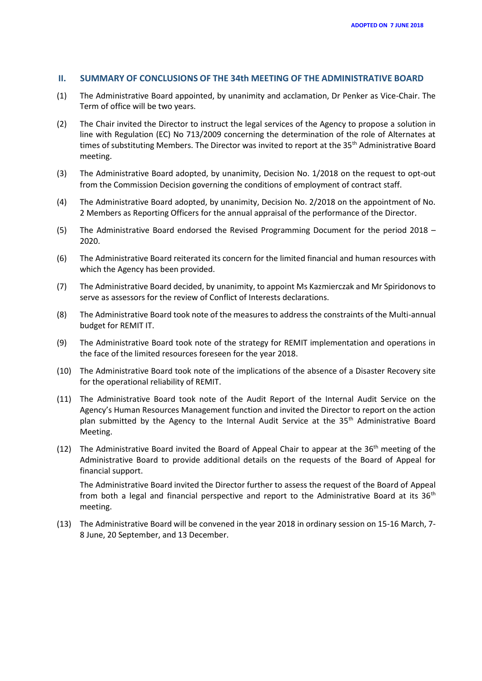#### **II. SUMMARY OF CONCLUSIONS OF THE 34th MEETING OF THE ADMINISTRATIVE BOARD**

- (1) The Administrative Board appointed, by unanimity and acclamation, Dr Penker as Vice-Chair. The Term of office will be two years.
- (2) The Chair invited the Director to instruct the legal services of the Agency to propose a solution in line with Regulation (EC) No 713/2009 concerning the determination of the role of Alternates at times of substituting Members. The Director was invited to report at the 35<sup>th</sup> Administrative Board meeting.
- (3) The Administrative Board adopted, by unanimity, Decision No. 1/2018 on the request to opt-out from the Commission Decision governing the conditions of employment of contract staff.
- (4) The Administrative Board adopted, by unanimity, Decision No. 2/2018 on the appointment of No. 2 Members as Reporting Officers for the annual appraisal of the performance of the Director.
- (5) The Administrative Board endorsed the Revised Programming Document for the period 2018 2020.
- (6) The Administrative Board reiterated its concern for the limited financial and human resources with which the Agency has been provided.
- (7) The Administrative Board decided, by unanimity, to appoint Ms Kazmierczak and Mr Spiridonovs to serve as assessors for the review of Conflict of Interests declarations.
- (8) The Administrative Board took note of the measures to address the constraints of the Multi-annual budget for REMIT IT.
- (9) The Administrative Board took note of the strategy for REMIT implementation and operations in the face of the limited resources foreseen for the year 2018.
- (10) The Administrative Board took note of the implications of the absence of a Disaster Recovery site for the operational reliability of REMIT.
- (11) The Administrative Board took note of the Audit Report of the Internal Audit Service on the Agency's Human Resources Management function and invited the Director to report on the action plan submitted by the Agency to the Internal Audit Service at the  $35<sup>th</sup>$  Administrative Board Meeting.
- (12) The Administrative Board invited the Board of Appeal Chair to appear at the  $36<sup>th</sup>$  meeting of the Administrative Board to provide additional details on the requests of the Board of Appeal for financial support.

The Administrative Board invited the Director further to assess the request of the Board of Appeal from both a legal and financial perspective and report to the Administrative Board at its  $36<sup>th</sup>$ meeting.

(13) The Administrative Board will be convened in the year 2018 in ordinary session on 15-16 March, 7- 8 June, 20 September, and 13 December.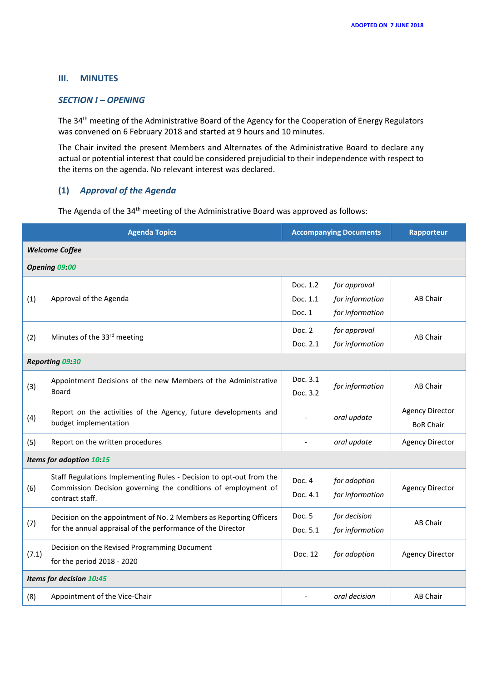# **III. MINUTES**

#### *SECTION I – OPENING*

The 34th meeting of the Administrative Board of the Agency for the Cooperation of Energy Regulators was convened on 6 February 2018 and started at 9 hours and 10 minutes.

The Chair invited the present Members and Alternates of the Administrative Board to declare any actual or potential interest that could be considered prejudicial to their independence with respect to the items on the agenda. No relevant interest was declared.

# **(1)** *Approval of the Agenda*

The Agenda of the 34<sup>th</sup> meeting of the Administrative Board was approved as follows:

| <b>Agenda Topics</b>     |                                                                                                                                                         | <b>Accompanying Documents</b>  |                                                    | Rapporteur                                 |  |  |  |
|--------------------------|---------------------------------------------------------------------------------------------------------------------------------------------------------|--------------------------------|----------------------------------------------------|--------------------------------------------|--|--|--|
| <b>Welcome Coffee</b>    |                                                                                                                                                         |                                |                                                    |                                            |  |  |  |
| Opening 09:00            |                                                                                                                                                         |                                |                                                    |                                            |  |  |  |
| (1)                      | Approval of the Agenda                                                                                                                                  | Doc. 1.2<br>Doc. 1.1<br>Doc. 1 | for approval<br>for information<br>for information | <b>AB Chair</b>                            |  |  |  |
| (2)                      | Minutes of the 33rd meeting                                                                                                                             | Doc. 2<br>Doc. 2.1             | for approval<br>for information                    | AB Chair                                   |  |  |  |
|                          | <b>Reporting 09:30</b>                                                                                                                                  |                                |                                                    |                                            |  |  |  |
| (3)                      | Appointment Decisions of the new Members of the Administrative<br>Board                                                                                 | Doc. 3.1<br>Doc. 3.2           | for information                                    | <b>AB Chair</b>                            |  |  |  |
| (4)                      | Report on the activities of the Agency, future developments and<br>budget implementation                                                                |                                | oral update                                        | <b>Agency Director</b><br><b>BoR Chair</b> |  |  |  |
| (5)                      | Report on the written procedures                                                                                                                        |                                | oral update                                        | <b>Agency Director</b>                     |  |  |  |
| Items for adoption 10:15 |                                                                                                                                                         |                                |                                                    |                                            |  |  |  |
| (6)                      | Staff Regulations Implementing Rules - Decision to opt-out from the<br>Commission Decision governing the conditions of employment of<br>contract staff. | Doc. 4<br>Doc. 4.1             | for adoption<br>for information                    | <b>Agency Director</b>                     |  |  |  |
| (7)                      | Decision on the appointment of No. 2 Members as Reporting Officers<br>for the annual appraisal of the performance of the Director                       | Doc. 5<br>Doc. 5.1             | for decision<br>for information                    | AB Chair                                   |  |  |  |
| (7.1)                    | Decision on the Revised Programming Document<br>for the period 2018 - 2020                                                                              | Doc. 12                        | for adoption                                       | <b>Agency Director</b>                     |  |  |  |
| Items for decision 10:45 |                                                                                                                                                         |                                |                                                    |                                            |  |  |  |
| (8)                      | Appointment of the Vice-Chair                                                                                                                           |                                | oral decision                                      | AB Chair                                   |  |  |  |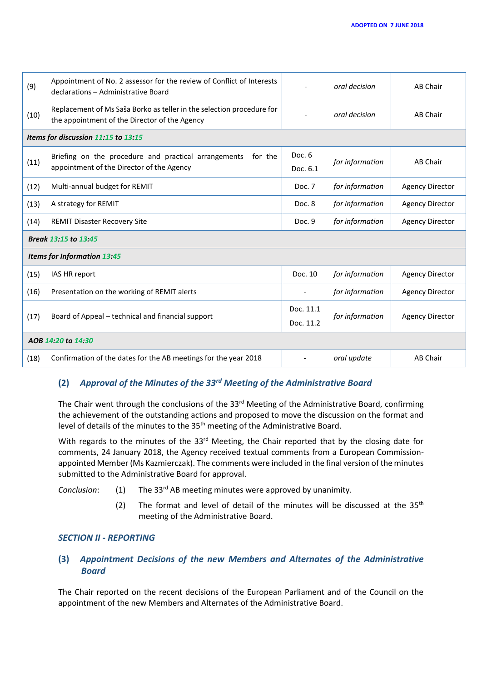| (9)                                 | Appointment of No. 2 assessor for the review of Conflict of Interests<br>declarations - Administrative Board           |                          | oral decision   | AB Chair               |  |  |  |
|-------------------------------------|------------------------------------------------------------------------------------------------------------------------|--------------------------|-----------------|------------------------|--|--|--|
| (10)                                | Replacement of Ms Saša Borko as teller in the selection procedure for<br>the appointment of the Director of the Agency |                          | oral decision   | AB Chair               |  |  |  |
| Items for discussion 11:15 to 13:15 |                                                                                                                        |                          |                 |                        |  |  |  |
| (11)                                | Briefing on the procedure and practical arrangements<br>for the<br>appointment of the Director of the Agency           | Doc. 6<br>Doc. 6.1       | for information | <b>AB Chair</b>        |  |  |  |
| (12)                                | Multi-annual budget for REMIT                                                                                          | Doc. 7                   | for information | <b>Agency Director</b> |  |  |  |
| (13)                                | A strategy for REMIT                                                                                                   | Doc. 8                   | for information | <b>Agency Director</b> |  |  |  |
| (14)                                | <b>REMIT Disaster Recovery Site</b>                                                                                    | Doc. 9                   | for information | <b>Agency Director</b> |  |  |  |
| Break 13:15 to 13:45                |                                                                                                                        |                          |                 |                        |  |  |  |
| <b>Items for Information 13:45</b>  |                                                                                                                        |                          |                 |                        |  |  |  |
| (15)                                | IAS HR report                                                                                                          | Doc. 10                  | for information | <b>Agency Director</b> |  |  |  |
| (16)                                | Presentation on the working of REMIT alerts                                                                            | $\overline{\phantom{0}}$ | for information | <b>Agency Director</b> |  |  |  |
| (17)                                | Board of Appeal - technical and financial support                                                                      | Doc. 11.1<br>Doc. 11.2   | for information | <b>Agency Director</b> |  |  |  |
| AOB 14:20 to 14:30                  |                                                                                                                        |                          |                 |                        |  |  |  |
| (18)                                | Confirmation of the dates for the AB meetings for the year 2018                                                        |                          | oral update     | <b>AB Chair</b>        |  |  |  |

# **(2)** *Approval of the Minutes of the 33rd Meeting of the Administrative Board*

The Chair went through the conclusions of the 33<sup>rd</sup> Meeting of the Administrative Board, confirming the achievement of the outstanding actions and proposed to move the discussion on the format and level of details of the minutes to the 35<sup>th</sup> meeting of the Administrative Board.

With regards to the minutes of the 33<sup>rd</sup> Meeting, the Chair reported that by the closing date for comments, 24 January 2018, the Agency received textual comments from a European Commissionappointed Member (Ms Kazmierczak). The comments were included in the final version of the minutes submitted to the Administrative Board for approval.

*Conclusion*: (1) The 33<sup>rd</sup> AB meeting minutes were approved by unanimity.

(2) The format and level of detail of the minutes will be discussed at the  $35<sup>th</sup>$ meeting of the Administrative Board.

# *SECTION II - REPORTING*

# **(3)** *Appointment Decisions of the new Members and Alternates of the Administrative Board*

The Chair reported on the recent decisions of the European Parliament and of the Council on the appointment of the new Members and Alternates of the Administrative Board.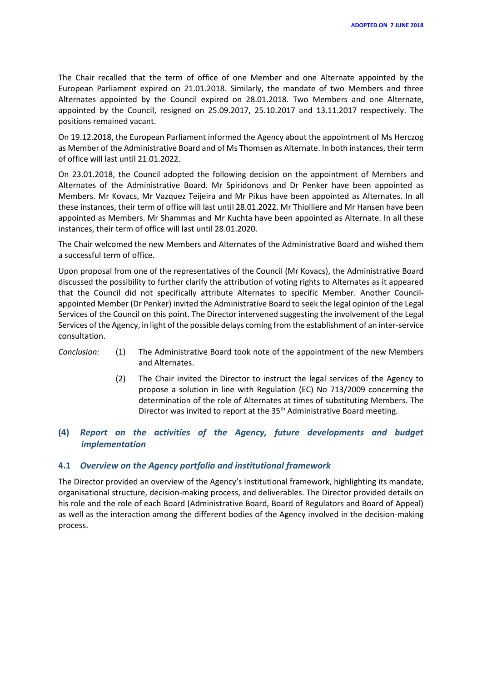The Chair recalled that the term of office of one Member and one Alternate appointed by the European Parliament expired on 21.01.2018. Similarly, the mandate of two Members and three Alternates appointed by the Council expired on 28.01.2018. Two Members and one Alternate, appointed by the Council, resigned on 25.09.2017, 25.10.2017 and 13.11.2017 respectively. The positions remained vacant.

On 19.12.2018, the European Parliament informed the Agency about the appointment of Ms Herczog as Member of the Administrative Board and of Ms Thomsen as Alternate. In both instances, their term of office will last until 21.01.2022.

On 23.01.2018, the Council adopted the following decision on the appointment of Members and Alternates of the Administrative Board. Mr Spiridonovs and Dr Penker have been appointed as Members. Mr Kovacs, Mr Vazquez Teijeira and Mr Pikus have been appointed as Alternates. In all these instances, their term of office will last until 28.01.2022. Mr Thiolliere and Mr Hansen have been appointed as Members. Mr Shammas and Mr Kuchta have been appointed as Alternate. In all these instances, their term of office will last until 28.01.2020.

The Chair welcomed the new Members and Alternates of the Administrative Board and wished them a successful term of office.

Upon proposal from one of the representatives of the Council (Mr Kovacs), the Administrative Board discussed the possibility to further clarify the attribution of voting rights to Alternates as it appeared that the Council did not specifically attribute Alternates to specific Member. Another Councilappointed Member (Dr Penker) invited the Administrative Board to seek the legal opinion of the Legal Services of the Council on this point. The Director intervened suggesting the involvement of the Legal Services of the Agency, in light of the possible delays coming from the establishment of an inter-service consultation.

- *Conclusion:* (1) The Administrative Board took note of the appointment of the new Members and Alternates.
	- (2) The Chair invited the Director to instruct the legal services of the Agency to propose a solution in line with Regulation (EC) No 713/2009 concerning the determination of the role of Alternates at times of substituting Members. The Director was invited to report at the 35<sup>th</sup> Administrative Board meeting.

# **(4)** *Report on the activities of the Agency, future developments and budget implementation*

#### **4.1** *Overview on the Agency portfolio and institutional framework*

The Director provided an overview of the Agency's institutional framework, highlighting its mandate, organisational structure, decision-making process, and deliverables. The Director provided details on his role and the role of each Board (Administrative Board, Board of Regulators and Board of Appeal) as well as the interaction among the different bodies of the Agency involved in the decision-making process.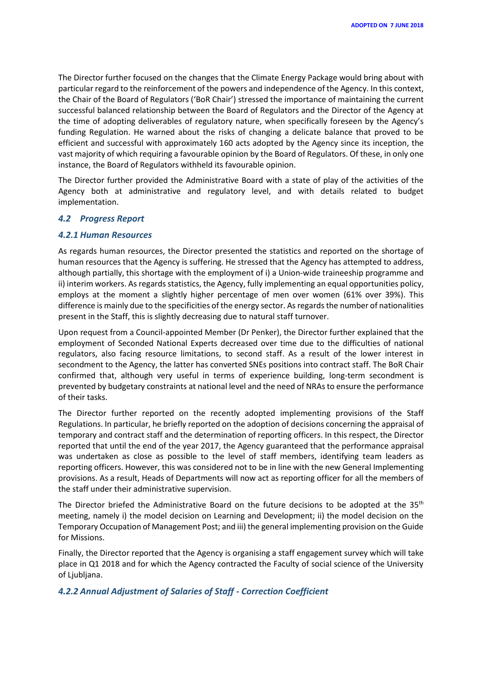The Director further focused on the changes that the Climate Energy Package would bring about with particular regard to the reinforcement of the powers and independence of the Agency. In this context, the Chair of the Board of Regulators ('BoR Chair') stressed the importance of maintaining the current successful balanced relationship between the Board of Regulators and the Director of the Agency at the time of adopting deliverables of regulatory nature, when specifically foreseen by the Agency's funding Regulation. He warned about the risks of changing a delicate balance that proved to be efficient and successful with approximately 160 acts adopted by the Agency since its inception, the vast majority of which requiring a favourable opinion by the Board of Regulators. Of these, in only one instance, the Board of Regulators withheld its favourable opinion.

The Director further provided the Administrative Board with a state of play of the activities of the Agency both at administrative and regulatory level, and with details related to budget implementation.

#### *4.2 Progress Report*

#### *4.2.1 Human Resources*

As regards human resources, the Director presented the statistics and reported on the shortage of human resources that the Agency is suffering. He stressed that the Agency has attempted to address, although partially, this shortage with the employment of i) a Union-wide traineeship programme and ii) interim workers. As regards statistics, the Agency, fully implementing an equal opportunities policy, employs at the moment a slightly higher percentage of men over women (61% over 39%). This difference is mainly due to the specificities of the energy sector. As regards the number of nationalities present in the Staff, this is slightly decreasing due to natural staff turnover.

Upon request from a Council-appointed Member (Dr Penker), the Director further explained that the employment of Seconded National Experts decreased over time due to the difficulties of national regulators, also facing resource limitations, to second staff. As a result of the lower interest in secondment to the Agency, the latter has converted SNEs positions into contract staff. The BoR Chair confirmed that, although very useful in terms of experience building, long-term secondment is prevented by budgetary constraints at national level and the need of NRAs to ensure the performance of their tasks.

The Director further reported on the recently adopted implementing provisions of the Staff Regulations. In particular, he briefly reported on the adoption of decisions concerning the appraisal of temporary and contract staff and the determination of reporting officers. In this respect, the Director reported that until the end of the year 2017, the Agency guaranteed that the performance appraisal was undertaken as close as possible to the level of staff members, identifying team leaders as reporting officers. However, this was considered not to be in line with the new General Implementing provisions. As a result, Heads of Departments will now act as reporting officer for all the members of the staff under their administrative supervision.

The Director briefed the Administrative Board on the future decisions to be adopted at the 35<sup>th</sup> meeting, namely i) the model decision on Learning and Development; ii) the model decision on the Temporary Occupation of Management Post; and iii) the general implementing provision on the Guide for Missions.

Finally, the Director reported that the Agency is organising a staff engagement survey which will take place in Q1 2018 and for which the Agency contracted the Faculty of social science of the University of Ljubljana.

#### *4.2.2 Annual Adjustment of Salaries of Staff - Correction Coefficient*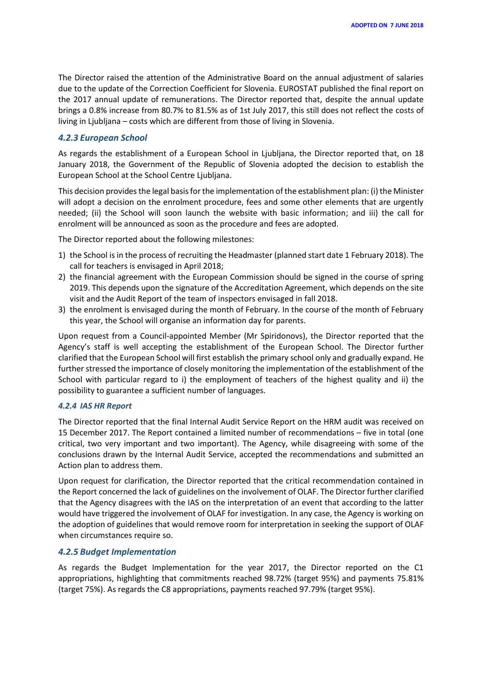The Director raised the attention of the Administrative Board on the annual adjustment of salaries due to the update of the Correction Coefficient for Slovenia. EUROSTAT published the final report on the 2017 annual update of remunerations. The Director reported that, despite the annual update brings a 0.8% increase from 80.7% to 81.5% as of 1st July 2017, this still does not reflect the costs of living in Ljubljana – costs which are different from those of living in Slovenia.

#### *4.2.3 European School*

As regards the establishment of a European School in Ljubljana, the Director reported that, on 18 January 2018, the Government of the Republic of Slovenia adopted the decision to establish the European School at the School Centre Ljubljana.

This decision provides the legal basis for the implementation of the establishment plan: (i) the Minister will adopt a decision on the enrolment procedure, fees and some other elements that are urgently needed; (ii) the School will soon launch the website with basic information; and iii) the call for enrolment will be announced as soon as the procedure and fees are adopted.

The Director reported about the following milestones:

- 1) the School is in the process of recruiting the Headmaster (planned start date 1 February 2018). The call for teachers is envisaged in April 2018;
- 2) the financial agreement with the European Commission should be signed in the course of spring 2019. This depends upon the signature of the Accreditation Agreement, which depends on the site visit and the Audit Report of the team of inspectors envisaged in fall 2018.
- 3) the enrolment is envisaged during the month of February. In the course of the month of February this year, the School will organise an information day for parents.

Upon request from a Council-appointed Member (Mr Spiridonovs), the Director reported that the Agency's staff is well accepting the establishment of the European School. The Director further clarified that the European School will first establish the primary school only and gradually expand. He further stressed the importance of closely monitoring the implementation of the establishment of the School with particular regard to i) the employment of teachers of the highest quality and ii) the possibility to guarantee a sufficient number of languages.

#### *4.2.4 IAS HR Report*

The Director reported that the final Internal Audit Service Report on the HRM audit was received on 15 December 2017. The Report contained a limited number of recommendations – five in total (one critical, two very important and two important). The Agency, while disagreeing with some of the conclusions drawn by the Internal Audit Service, accepted the recommendations and submitted an Action plan to address them.

Upon request for clarification, the Director reported that the critical recommendation contained in the Report concerned the lack of guidelines on the involvement of OLAF. The Director further clarified that the Agency disagrees with the IAS on the interpretation of an event that according to the latter would have triggered the involvement of OLAF for investigation. In any case, the Agency is working on the adoption of guidelines that would remove room for interpretation in seeking the support of OLAF when circumstances require so.

#### *4.2.5 Budget Implementation*

As regards the Budget Implementation for the year 2017, the Director reported on the C1 appropriations, highlighting that commitments reached 98.72% (target 95%) and payments 75.81% (target 75%). As regards the C8 appropriations, payments reached 97.79% (target 95%).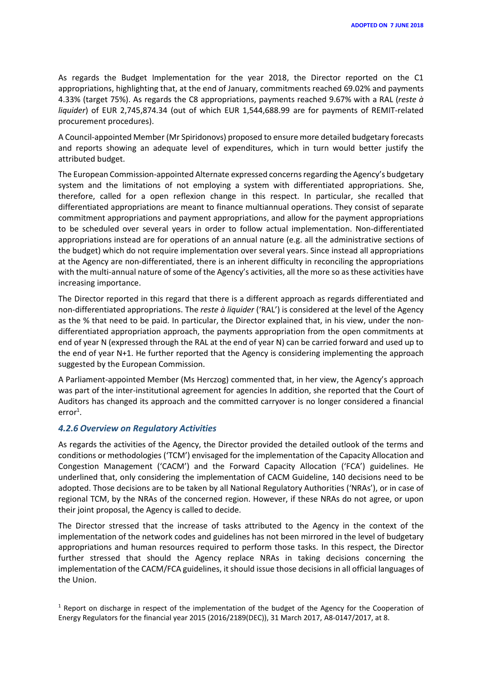As regards the Budget Implementation for the year 2018, the Director reported on the C1 appropriations, highlighting that, at the end of January, commitments reached 69.02% and payments 4.33% (target 75%). As regards the C8 appropriations, payments reached 9.67% with a RAL (*reste à liquider*) of EUR 2,745,874.34 (out of which EUR 1,544,688.99 are for payments of REMIT-related procurement procedures).

A Council-appointed Member (Mr Spiridonovs) proposed to ensure more detailed budgetary forecasts and reports showing an adequate level of expenditures, which in turn would better justify the attributed budget.

The European Commission-appointed Alternate expressed concerns regarding the Agency's budgetary system and the limitations of not employing a system with differentiated appropriations. She, therefore, called for a open reflexion change in this respect. In particular, she recalled that differentiated appropriations are meant to finance multiannual operations. They consist of separate commitment appropriations and payment appropriations, and allow for the payment appropriations to be scheduled over several years in order to follow actual implementation. Non-differentiated appropriations instead are for operations of an annual nature (e.g. all the administrative sections of the budget) which do not require implementation over several years. Since instead all appropriations at the Agency are non-differentiated, there is an inherent difficulty in reconciling the appropriations with the multi-annual nature of some of the Agency's activities, all the more so as these activities have increasing importance.

The Director reported in this regard that there is a different approach as regards differentiated and non-differentiated appropriations. The *reste à liquider* ('RAL') is considered at the level of the Agency as the % that need to be paid. In particular, the Director explained that, in his view, under the nondifferentiated appropriation approach, the payments appropriation from the open commitments at end of year N (expressed through the RAL at the end of year N) can be carried forward and used up to the end of year N+1. He further reported that the Agency is considering implementing the approach suggested by the European Commission.

A Parliament-appointed Member (Ms Herczog) commented that, in her view, the Agency's approach was part of the inter-institutional agreement for agencies In addition, she reported that the Court of Auditors has changed its approach and the committed carryover is no longer considered a financial error<sup>1</sup>.

#### *4.2.6 Overview on Regulatory Activities*

As regards the activities of the Agency, the Director provided the detailed outlook of the terms and conditions or methodologies ('TCM') envisaged for the implementation of the Capacity Allocation and Congestion Management ('CACM') and the Forward Capacity Allocation ('FCA') guidelines. He underlined that, only considering the implementation of CACM Guideline, 140 decisions need to be adopted. Those decisions are to be taken by all National Regulatory Authorities ('NRAs'), or in case of regional TCM, by the NRAs of the concerned region. However, if these NRAs do not agree, or upon their joint proposal, the Agency is called to decide.

The Director stressed that the increase of tasks attributed to the Agency in the context of the implementation of the network codes and guidelines has not been mirrored in the level of budgetary appropriations and human resources required to perform those tasks. In this respect, the Director further stressed that should the Agency replace NRAs in taking decisions concerning the implementation of the CACM/FCA guidelines, it should issue those decisions in all official languages of the Union.

<sup>&</sup>lt;sup>1</sup> Report on discharge in respect of the implementation of the budget of the Agency for the Cooperation of Energy Regulators for the financial year 2015 (2016/2189(DEC)), 31 March 2017, A8-0147/2017, at 8.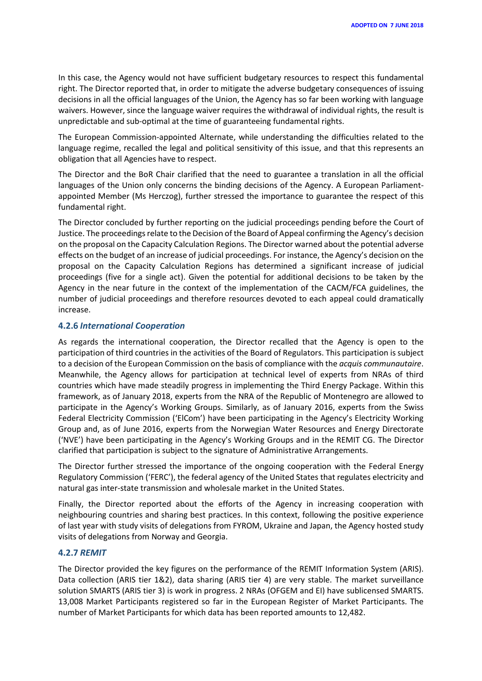In this case, the Agency would not have sufficient budgetary resources to respect this fundamental right. The Director reported that, in order to mitigate the adverse budgetary consequences of issuing decisions in all the official languages of the Union, the Agency has so far been working with language waivers. However, since the language waiver requires the withdrawal of individual rights, the result is unpredictable and sub-optimal at the time of guaranteeing fundamental rights.

The European Commission-appointed Alternate, while understanding the difficulties related to the language regime, recalled the legal and political sensitivity of this issue, and that this represents an obligation that all Agencies have to respect.

The Director and the BoR Chair clarified that the need to guarantee a translation in all the official languages of the Union only concerns the binding decisions of the Agency. A European Parliamentappointed Member (Ms Herczog), further stressed the importance to guarantee the respect of this fundamental right.

The Director concluded by further reporting on the judicial proceedings pending before the Court of Justice. The proceedings relate to the Decision of the Board of Appeal confirming the Agency's decision on the proposal on the Capacity Calculation Regions. The Director warned about the potential adverse effects on the budget of an increase of judicial proceedings. For instance, the Agency's decision on the proposal on the Capacity Calculation Regions has determined a significant increase of judicial proceedings (five for a single act). Given the potential for additional decisions to be taken by the Agency in the near future in the context of the implementation of the CACM/FCA guidelines, the number of judicial proceedings and therefore resources devoted to each appeal could dramatically increase.

#### **4.2.6** *International Cooperation*

As regards the international cooperation, the Director recalled that the Agency is open to the participation of third countries in the activities of the Board of Regulators. This participation is subject to a decision of the European Commission on the basis of compliance with the *acquis communautaire*. Meanwhile, the Agency allows for participation at technical level of experts from NRAs of third countries which have made steadily progress in implementing the Third Energy Package. Within this framework, as of January 2018, experts from the NRA of the Republic of Montenegro are allowed to participate in the Agency's Working Groups. Similarly, as of January 2016, experts from the Swiss Federal Electricity Commission ('ElCom') have been participating in the Agency's Electricity Working Group and, as of June 2016, experts from the Norwegian Water Resources and Energy Directorate ('NVE') have been participating in the Agency's Working Groups and in the REMIT CG. The Director clarified that participation is subject to the signature of Administrative Arrangements.

The Director further stressed the importance of the ongoing cooperation with the Federal Energy Regulatory Commission ('FERC'), the federal agency of the United States that regulates electricity and natural gas inter-state transmission and wholesale market in the United States.

Finally, the Director reported about the efforts of the Agency in increasing cooperation with neighbouring countries and sharing best practices. In this context, following the positive experience of last year with study visits of delegations from FYROM, Ukraine and Japan, the Agency hosted study visits of delegations from Norway and Georgia.

#### **4.2.7** *REMIT*

The Director provided the key figures on the performance of the REMIT Information System (ARIS). Data collection (ARIS tier 1&2), data sharing (ARIS tier 4) are very stable. The market surveillance solution SMARTS (ARIS tier 3) is work in progress. 2 NRAs (OFGEM and EI) have sublicensed SMARTS. 13,008 Market Participants registered so far in the European Register of Market Participants. The number of Market Participants for which data has been reported amounts to 12,482.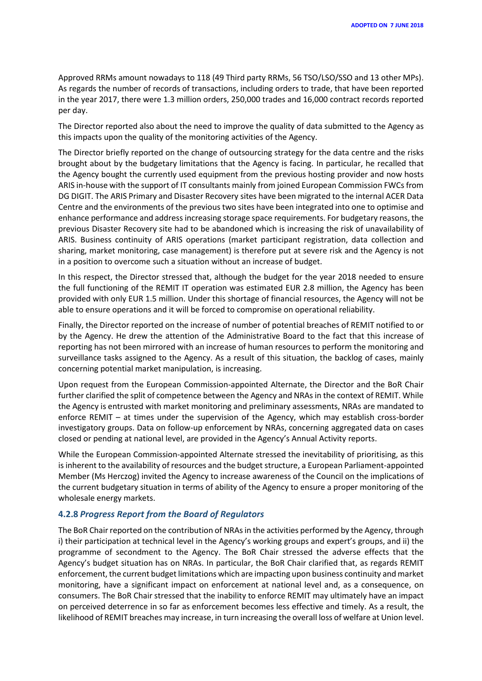Approved RRMs amount nowadays to 118 (49 Third party RRMs, 56 TSO/LSO/SSO and 13 other MPs). As regards the number of records of transactions, including orders to trade, that have been reported in the year 2017, there were 1.3 million orders, 250,000 trades and 16,000 contract records reported per day.

The Director reported also about the need to improve the quality of data submitted to the Agency as this impacts upon the quality of the monitoring activities of the Agency.

The Director briefly reported on the change of outsourcing strategy for the data centre and the risks brought about by the budgetary limitations that the Agency is facing. In particular, he recalled that the Agency bought the currently used equipment from the previous hosting provider and now hosts ARIS in-house with the support of IT consultants mainly from joined European Commission FWCs from DG DIGIT. The ARIS Primary and Disaster Recovery sites have been migrated to the internal ACER Data Centre and the environments of the previous two sites have been integrated into one to optimise and enhance performance and address increasing storage space requirements. For budgetary reasons, the previous Disaster Recovery site had to be abandoned which is increasing the risk of unavailability of ARIS. Business continuity of ARIS operations (market participant registration, data collection and sharing, market monitoring, case management) is therefore put at severe risk and the Agency is not in a position to overcome such a situation without an increase of budget.

In this respect, the Director stressed that, although the budget for the year 2018 needed to ensure the full functioning of the REMIT IT operation was estimated EUR 2.8 million, the Agency has been provided with only EUR 1.5 million. Under this shortage of financial resources, the Agency will not be able to ensure operations and it will be forced to compromise on operational reliability.

Finally, the Director reported on the increase of number of potential breaches of REMIT notified to or by the Agency. He drew the attention of the Administrative Board to the fact that this increase of reporting has not been mirrored with an increase of human resources to perform the monitoring and surveillance tasks assigned to the Agency. As a result of this situation, the backlog of cases, mainly concerning potential market manipulation, is increasing.

Upon request from the European Commission-appointed Alternate, the Director and the BoR Chair further clarified the split of competence between the Agency and NRAs in the context of REMIT. While the Agency is entrusted with market monitoring and preliminary assessments, NRAs are mandated to enforce REMIT – at times under the supervision of the Agency, which may establish cross-border investigatory groups. Data on follow-up enforcement by NRAs, concerning aggregated data on cases closed or pending at national level, are provided in the Agency's Annual Activity reports.

While the European Commission-appointed Alternate stressed the inevitability of prioritising, as this is inherent to the availability of resources and the budget structure, a European Parliament-appointed Member (Ms Herczog) invited the Agency to increase awareness of the Council on the implications of the current budgetary situation in terms of ability of the Agency to ensure a proper monitoring of the wholesale energy markets.

#### **4.2.8** *Progress Report from the Board of Regulators*

The BoR Chair reported on the contribution of NRAs in the activities performed by the Agency, through i) their participation at technical level in the Agency's working groups and expert's groups, and ii) the programme of secondment to the Agency. The BoR Chair stressed the adverse effects that the Agency's budget situation has on NRAs. In particular, the BoR Chair clarified that, as regards REMIT enforcement, the current budget limitations which are impacting upon business continuity and market monitoring, have a significant impact on enforcement at national level and, as a consequence, on consumers. The BoR Chair stressed that the inability to enforce REMIT may ultimately have an impact on perceived deterrence in so far as enforcement becomes less effective and timely. As a result, the likelihood of REMIT breaches may increase, in turn increasing the overall loss of welfare at Union level.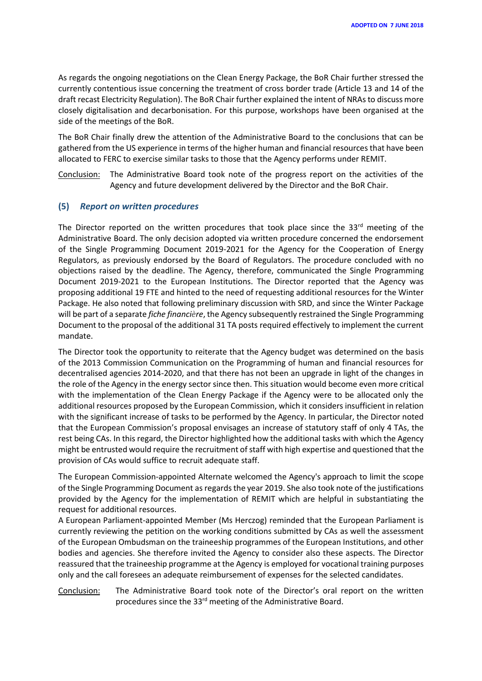As regards the ongoing negotiations on the Clean Energy Package, the BoR Chair further stressed the currently contentious issue concerning the treatment of cross border trade (Article 13 and 14 of the draft recast Electricity Regulation). The BoR Chair further explained the intent of NRAs to discuss more closely digitalisation and decarbonisation. For this purpose, workshops have been organised at the side of the meetings of the BoR.

The BoR Chair finally drew the attention of the Administrative Board to the conclusions that can be gathered from the US experience in terms of the higher human and financial resources that have been allocated to FERC to exercise similar tasks to those that the Agency performs under REMIT.

Conclusion: The Administrative Board took note of the progress report on the activities of the Agency and future development delivered by the Director and the BoR Chair.

#### **(5)** *Report on written procedures*

The Director reported on the written procedures that took place since the 33rd meeting of the Administrative Board. The only decision adopted via written procedure concerned the endorsement of the Single Programming Document 2019-2021 for the Agency for the Cooperation of Energy Regulators, as previously endorsed by the Board of Regulators. The procedure concluded with no objections raised by the deadline. The Agency, therefore, communicated the Single Programming Document 2019-2021 to the European Institutions. The Director reported that the Agency was proposing additional 19 FTE and hinted to the need of requesting additional resources for the Winter Package. He also noted that following preliminary discussion with SRD, and since the Winter Package will be part of a separate *fiche financière*, the Agency subsequently restrained the Single Programming Document to the proposal of the additional 31 TA posts required effectively to implement the current mandate.

The Director took the opportunity to reiterate that the Agency budget was determined on the basis of the 2013 Commission Communication on the Programming of human and financial resources for decentralised agencies 2014-2020, and that there has not been an upgrade in light of the changes in the role of the Agency in the energy sector since then. This situation would become even more critical with the implementation of the Clean Energy Package if the Agency were to be allocated only the additional resources proposed by the European Commission, which it considers insufficient in relation with the significant increase of tasks to be performed by the Agency. In particular, the Director noted that the European Commission's proposal envisages an increase of statutory staff of only 4 TAs, the rest being CAs. In this regard, the Director highlighted how the additional tasks with which the Agency might be entrusted would require the recruitment of staff with high expertise and questioned that the provision of CAs would suffice to recruit adequate staff.

The European Commission-appointed Alternate welcomed the Agency's approach to limit the scope of the Single Programming Document as regards the year 2019. She also took note of the justifications provided by the Agency for the implementation of REMIT which are helpful in substantiating the request for additional resources.

A European Parliament-appointed Member (Ms Herczog) reminded that the European Parliament is currently reviewing the petition on the working conditions submitted by CAs as well the assessment of the European Ombudsman on the traineeship programmes of the European Institutions, and other bodies and agencies. She therefore invited the Agency to consider also these aspects. The Director reassured that the traineeship programme at the Agency is employed for vocational training purposes only and the call foresees an adequate reimbursement of expenses for the selected candidates.

Conclusion: The Administrative Board took note of the Director's oral report on the written procedures since the 33<sup>rd</sup> meeting of the Administrative Board.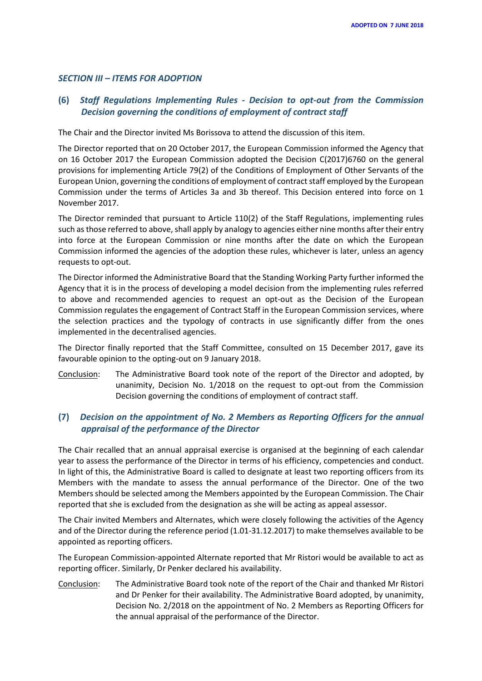#### *SECTION III – ITEMS FOR ADOPTION*

# **(6)** *Staff Regulations Implementing Rules - Decision to opt-out from the Commission Decision governing the conditions of employment of contract staff*

The Chair and the Director invited Ms Borissova to attend the discussion of this item.

The Director reported that on 20 October 2017, the European Commission informed the Agency that on 16 October 2017 the European Commission adopted the Decision C(2017)6760 on the general provisions for implementing Article 79(2) of the Conditions of Employment of Other Servants of the European Union, governing the conditions of employment of contract staff employed by the European Commission under the terms of Articles 3a and 3b thereof. This Decision entered into force on 1 November 2017.

The Director reminded that pursuant to Article 110(2) of the Staff Regulations, implementing rules such as those referred to above, shall apply by analogy to agencies either nine months after their entry into force at the European Commission or nine months after the date on which the European Commission informed the agencies of the adoption these rules, whichever is later, unless an agency requests to opt-out.

The Director informed the Administrative Board that the Standing Working Party further informed the Agency that it is in the process of developing a model decision from the implementing rules referred to above and recommended agencies to request an opt-out as the Decision of the European Commission regulates the engagement of Contract Staff in the European Commission services, where the selection practices and the typology of contracts in use significantly differ from the ones implemented in the decentralised agencies.

The Director finally reported that the Staff Committee, consulted on 15 December 2017, gave its favourable opinion to the opting-out on 9 January 2018.

Conclusion: The Administrative Board took note of the report of the Director and adopted, by unanimity, Decision No. 1/2018 on the request to opt-out from the Commission Decision governing the conditions of employment of contract staff.

# **(7)** *Decision on the appointment of No. 2 Members as Reporting Officers for the annual appraisal of the performance of the Director*

The Chair recalled that an annual appraisal exercise is organised at the beginning of each calendar year to assess the performance of the Director in terms of his efficiency, competencies and conduct. In light of this, the Administrative Board is called to designate at least two reporting officers from its Members with the mandate to assess the annual performance of the Director. One of the two Members should be selected among the Members appointed by the European Commission. The Chair reported that she is excluded from the designation as she will be acting as appeal assessor.

The Chair invited Members and Alternates, which were closely following the activities of the Agency and of the Director during the reference period (1.01-31.12.2017) to make themselves available to be appointed as reporting officers.

The European Commission-appointed Alternate reported that Mr Ristori would be available to act as reporting officer. Similarly, Dr Penker declared his availability.

Conclusion: The Administrative Board took note of the report of the Chair and thanked Mr Ristori and Dr Penker for their availability. The Administrative Board adopted, by unanimity, Decision No. 2/2018 on the appointment of No. 2 Members as Reporting Officers for the annual appraisal of the performance of the Director.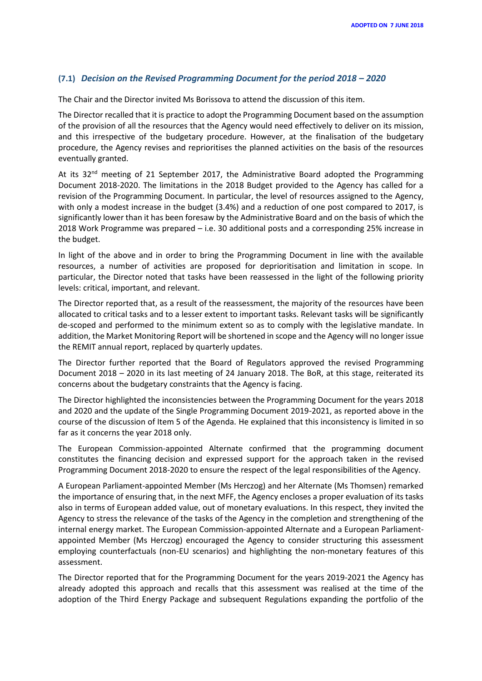# **(7.1)** *Decision on the Revised Programming Document for the period 2018 – 2020*

The Chair and the Director invited Ms Borissova to attend the discussion of this item.

The Director recalled that it is practice to adopt the Programming Document based on the assumption of the provision of all the resources that the Agency would need effectively to deliver on its mission, and this irrespective of the budgetary procedure. However, at the finalisation of the budgetary procedure, the Agency revises and reprioritises the planned activities on the basis of the resources eventually granted.

At its  $32^{nd}$  meeting of 21 September 2017, the Administrative Board adopted the Programming Document 2018-2020. The limitations in the 2018 Budget provided to the Agency has called for a revision of the Programming Document. In particular, the level of resources assigned to the Agency, with only a modest increase in the budget (3.4%) and a reduction of one post compared to 2017, is significantly lower than it has been foresaw by the Administrative Board and on the basis of which the 2018 Work Programme was prepared – i.e. 30 additional posts and a corresponding 25% increase in the budget.

In light of the above and in order to bring the Programming Document in line with the available resources, a number of activities are proposed for deprioritisation and limitation in scope. In particular, the Director noted that tasks have been reassessed in the light of the following priority levels: critical, important, and relevant.

The Director reported that, as a result of the reassessment, the majority of the resources have been allocated to critical tasks and to a lesser extent to important tasks. Relevant tasks will be significantly de-scoped and performed to the minimum extent so as to comply with the legislative mandate. In addition, the Market Monitoring Report will be shortened in scope and the Agency will no longer issue the REMIT annual report, replaced by quarterly updates.

The Director further reported that the Board of Regulators approved the revised Programming Document 2018 – 2020 in its last meeting of 24 January 2018. The BoR, at this stage, reiterated its concerns about the budgetary constraints that the Agency is facing.

The Director highlighted the inconsistencies between the Programming Document for the years 2018 and 2020 and the update of the Single Programming Document 2019-2021, as reported above in the course of the discussion of Item 5 of the Agenda. He explained that this inconsistency is limited in so far as it concerns the year 2018 only.

The European Commission-appointed Alternate confirmed that the programming document constitutes the financing decision and expressed support for the approach taken in the revised Programming Document 2018-2020 to ensure the respect of the legal responsibilities of the Agency.

A European Parliament-appointed Member (Ms Herczog) and her Alternate (Ms Thomsen) remarked the importance of ensuring that, in the next MFF, the Agency encloses a proper evaluation of its tasks also in terms of European added value, out of monetary evaluations. In this respect, they invited the Agency to stress the relevance of the tasks of the Agency in the completion and strengthening of the internal energy market. The European Commission-appointed Alternate and a European Parliamentappointed Member (Ms Herczog) encouraged the Agency to consider structuring this assessment employing counterfactuals (non-EU scenarios) and highlighting the non-monetary features of this assessment.

The Director reported that for the Programming Document for the years 2019-2021 the Agency has already adopted this approach and recalls that this assessment was realised at the time of the adoption of the Third Energy Package and subsequent Regulations expanding the portfolio of the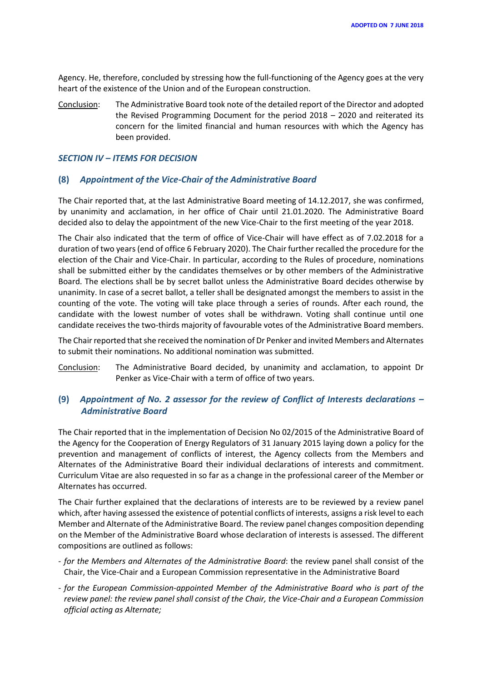Agency. He, therefore, concluded by stressing how the full-functioning of the Agency goes at the very heart of the existence of the Union and of the European construction.

Conclusion: The Administrative Board took note of the detailed report of the Director and adopted the Revised Programming Document for the period 2018 – 2020 and reiterated its concern for the limited financial and human resources with which the Agency has been provided.

# *SECTION IV – ITEMS FOR DECISION*

# **(8)** *Appointment of the Vice-Chair of the Administrative Board*

The Chair reported that, at the last Administrative Board meeting of 14.12.2017, she was confirmed, by unanimity and acclamation, in her office of Chair until 21.01.2020. The Administrative Board decided also to delay the appointment of the new Vice-Chair to the first meeting of the year 2018.

The Chair also indicated that the term of office of Vice-Chair will have effect as of 7.02.2018 for a duration of two years (end of office 6 February 2020). The Chair further recalled the procedure for the election of the Chair and Vice-Chair. In particular, according to the Rules of procedure, nominations shall be submitted either by the candidates themselves or by other members of the Administrative Board. The elections shall be by secret ballot unless the Administrative Board decides otherwise by unanimity. In case of a secret ballot, a teller shall be designated amongst the members to assist in the counting of the vote. The voting will take place through a series of rounds. After each round, the candidate with the lowest number of votes shall be withdrawn. Voting shall continue until one candidate receives the two-thirds majority of favourable votes of the Administrative Board members.

The Chair reported that she received the nomination of Dr Penker and invited Members and Alternates to submit their nominations. No additional nomination was submitted.

Conclusion: The Administrative Board decided, by unanimity and acclamation, to appoint Dr Penker as Vice-Chair with a term of office of two years.

# **(9)** *Appointment of No. 2 assessor for the review of Conflict of Interests declarations – Administrative Board*

The Chair reported that in the implementation of Decision No 02/2015 of the Administrative Board of the Agency for the Cooperation of Energy Regulators of 31 January 2015 laying down a policy for the prevention and management of conflicts of interest, the Agency collects from the Members and Alternates of the Administrative Board their individual declarations of interests and commitment. Curriculum Vitae are also requested in so far as a change in the professional career of the Member or Alternates has occurred.

The Chair further explained that the declarations of interests are to be reviewed by a review panel which, after having assessed the existence of potential conflicts of interests, assigns a risk level to each Member and Alternate of the Administrative Board. The review panel changes composition depending on the Member of the Administrative Board whose declaration of interests is assessed. The different compositions are outlined as follows:

- *for the Members and Alternates of the Administrative Board*: the review panel shall consist of the Chair, the Vice-Chair and a European Commission representative in the Administrative Board
- *for the European Commission-appointed Member of the Administrative Board who is part of the review panel: the review panel shall consist of the Chair, the Vice-Chair and a European Commission official acting as Alternate;*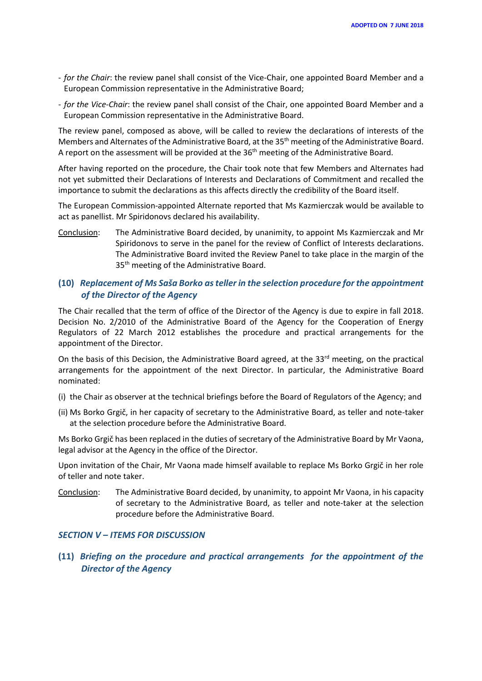- *for the Chair*: the review panel shall consist of the Vice-Chair, one appointed Board Member and a European Commission representative in the Administrative Board;
- *for the Vice-Chair*: the review panel shall consist of the Chair, one appointed Board Member and a European Commission representative in the Administrative Board.

The review panel, composed as above, will be called to review the declarations of interests of the Members and Alternates of the Administrative Board, at the 35<sup>th</sup> meeting of the Administrative Board. A report on the assessment will be provided at the 36<sup>th</sup> meeting of the Administrative Board.

After having reported on the procedure, the Chair took note that few Members and Alternates had not yet submitted their Declarations of Interests and Declarations of Commitment and recalled the importance to submit the declarations as this affects directly the credibility of the Board itself.

The European Commission-appointed Alternate reported that Ms Kazmierczak would be available to act as panellist. Mr Spiridonovs declared his availability.

Conclusion: The Administrative Board decided, by unanimity, to appoint Ms Kazmierczak and Mr Spiridonovs to serve in the panel for the review of Conflict of Interests declarations. The Administrative Board invited the Review Panel to take place in the margin of the 35<sup>th</sup> meeting of the Administrative Board.

# **(10)** *Replacement of Ms Saša Borko as teller in the selection procedure for the appointment of the Director of the Agency*

The Chair recalled that the term of office of the Director of the Agency is due to expire in fall 2018. Decision No. 2/2010 of the Administrative Board of the Agency for the Cooperation of Energy Regulators of 22 March 2012 establishes the procedure and practical arrangements for the appointment of the Director.

On the basis of this Decision, the Administrative Board agreed, at the 33<sup>rd</sup> meeting, on the practical arrangements for the appointment of the next Director. In particular, the Administrative Board nominated:

- (i) the Chair as observer at the technical briefings before the Board of Regulators of the Agency; and
- (ii) Ms Borko Grgič, in her capacity of secretary to the Administrative Board, as teller and note-taker at the selection procedure before the Administrative Board.

Ms Borko Grgič has been replaced in the duties of secretary of the Administrative Board by Mr Vaona, legal advisor at the Agency in the office of the Director.

Upon invitation of the Chair, Mr Vaona made himself available to replace Ms Borko Grgič in her role of teller and note taker.

Conclusion: The Administrative Board decided, by unanimity, to appoint Mr Vaona, in his capacity of secretary to the Administrative Board, as teller and note-taker at the selection procedure before the Administrative Board.

#### *SECTION V – ITEMS FOR DISCUSSION*

**(11)** *Briefing on the procedure and practical arrangements for the appointment of the Director of the Agency*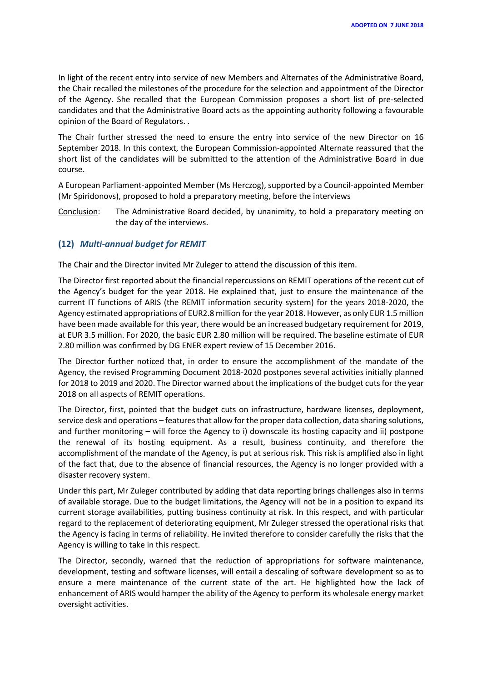In light of the recent entry into service of new Members and Alternates of the Administrative Board, the Chair recalled the milestones of the procedure for the selection and appointment of the Director of the Agency. She recalled that the European Commission proposes a short list of pre-selected candidates and that the Administrative Board acts as the appointing authority following a favourable opinion of the Board of Regulators. .

The Chair further stressed the need to ensure the entry into service of the new Director on 16 September 2018. In this context, the European Commission-appointed Alternate reassured that the short list of the candidates will be submitted to the attention of the Administrative Board in due course.

A European Parliament-appointed Member (Ms Herczog), supported by a Council-appointed Member (Mr Spiridonovs), proposed to hold a preparatory meeting, before the interviews

Conclusion: The Administrative Board decided, by unanimity, to hold a preparatory meeting on the day of the interviews.

#### **(12)** *Multi-annual budget for REMIT*

The Chair and the Director invited Mr Zuleger to attend the discussion of this item.

The Director first reported about the financial repercussions on REMIT operations of the recent cut of the Agency's budget for the year 2018. He explained that, just to ensure the maintenance of the current IT functions of ARIS (the REMIT information security system) for the years 2018-2020, the Agency estimated appropriations of EUR2.8 million for the year 2018. However, as only EUR 1.5 million have been made available for this year, there would be an increased budgetary requirement for 2019, at EUR 3.5 million. For 2020, the basic EUR 2.80 million will be required. The baseline estimate of EUR 2.80 million was confirmed by DG ENER expert review of 15 December 2016.

The Director further noticed that, in order to ensure the accomplishment of the mandate of the Agency, the revised Programming Document 2018-2020 postpones several activities initially planned for 2018 to 2019 and 2020. The Director warned about the implications of the budget cuts for the year 2018 on all aspects of REMIT operations.

The Director, first, pointed that the budget cuts on infrastructure, hardware licenses, deployment, service desk and operations – features that allow for the proper data collection, data sharing solutions, and further monitoring – will force the Agency to i) downscale its hosting capacity and ii) postpone the renewal of its hosting equipment. As a result, business continuity, and therefore the accomplishment of the mandate of the Agency, is put at serious risk. This risk is amplified also in light of the fact that, due to the absence of financial resources, the Agency is no longer provided with a disaster recovery system.

Under this part, Mr Zuleger contributed by adding that data reporting brings challenges also in terms of available storage. Due to the budget limitations, the Agency will not be in a position to expand its current storage availabilities, putting business continuity at risk. In this respect, and with particular regard to the replacement of deteriorating equipment, Mr Zuleger stressed the operational risks that the Agency is facing in terms of reliability. He invited therefore to consider carefully the risks that the Agency is willing to take in this respect.

The Director, secondly, warned that the reduction of appropriations for software maintenance, development, testing and software licenses, will entail a descaling of software development so as to ensure a mere maintenance of the current state of the art. He highlighted how the lack of enhancement of ARIS would hamper the ability of the Agency to perform its wholesale energy market oversight activities.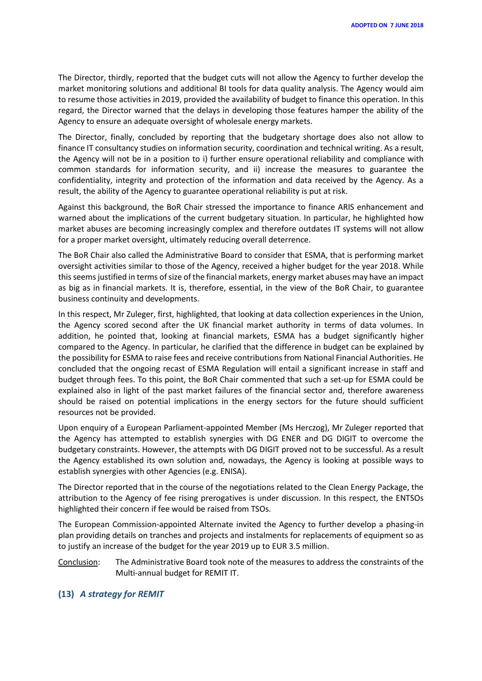The Director, thirdly, reported that the budget cuts will not allow the Agency to further develop the market monitoring solutions and additional BI tools for data quality analysis. The Agency would aim to resume those activities in 2019, provided the availability of budget to finance this operation. In this regard, the Director warned that the delays in developing those features hamper the ability of the Agency to ensure an adequate oversight of wholesale energy markets.

The Director, finally, concluded by reporting that the budgetary shortage does also not allow to finance IT consultancy studies on information security, coordination and technical writing. As a result, the Agency will not be in a position to i) further ensure operational reliability and compliance with common standards for information security, and ii) increase the measures to guarantee the confidentiality, integrity and protection of the information and data received by the Agency. As a result, the ability of the Agency to guarantee operational reliability is put at risk.

Against this background, the BoR Chair stressed the importance to finance ARIS enhancement and warned about the implications of the current budgetary situation. In particular, he highlighted how market abuses are becoming increasingly complex and therefore outdates IT systems will not allow for a proper market oversight, ultimately reducing overall deterrence.

The BoR Chair also called the Administrative Board to consider that ESMA, that is performing market oversight activities similar to those of the Agency, received a higher budget for the year 2018. While this seems justified in terms of size of the financial markets, energy market abuses may have an impact as big as in financial markets. It is, therefore, essential, in the view of the BoR Chair, to guarantee business continuity and developments.

In this respect, Mr Zuleger, first, highlighted, that looking at data collection experiences in the Union, the Agency scored second after the UK financial market authority in terms of data volumes. In addition, he pointed that, looking at financial markets, ESMA has a budget significantly higher compared to the Agency. In particular, he clarified that the difference in budget can be explained by the possibility for ESMA to raise fees and receive contributions from National Financial Authorities. He concluded that the ongoing recast of ESMA Regulation will entail a significant increase in staff and budget through fees. To this point, the BoR Chair commented that such a set-up for ESMA could be explained also in light of the past market failures of the financial sector and, therefore awareness should be raised on potential implications in the energy sectors for the future should sufficient resources not be provided.

Upon enquiry of a European Parliament-appointed Member (Ms Herczog), Mr Zuleger reported that the Agency has attempted to establish synergies with DG ENER and DG DIGIT to overcome the budgetary constraints. However, the attempts with DG DIGIT proved not to be successful. As a result the Agency established its own solution and, nowadays, the Agency is looking at possible ways to establish synergies with other Agencies (e.g. ENISA).

The Director reported that in the course of the negotiations related to the Clean Energy Package, the attribution to the Agency of fee rising prerogatives is under discussion. In this respect, the ENTSOs highlighted their concern if fee would be raised from TSOs.

The European Commission-appointed Alternate invited the Agency to further develop a phasing-in plan providing details on tranches and projects and instalments for replacements of equipment so as to justify an increase of the budget for the year 2019 up to EUR 3.5 million.

Conclusion: The Administrative Board took note of the measures to address the constraints of the Multi-annual budget for REMIT IT.

#### **(13)** *A strategy for REMIT*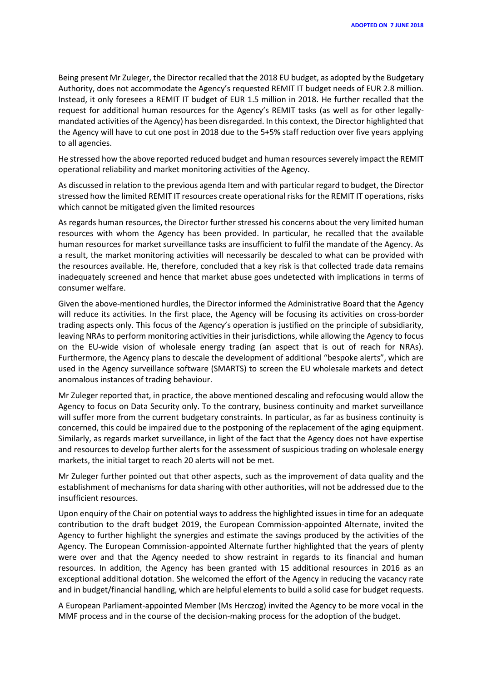Being present Mr Zuleger, the Director recalled that the 2018 EU budget, as adopted by the Budgetary Authority, does not accommodate the Agency's requested REMIT IT budget needs of EUR 2.8 million. Instead, it only foresees a REMIT IT budget of EUR 1.5 million in 2018. He further recalled that the request for additional human resources for the Agency's REMIT tasks (as well as for other legallymandated activities of the Agency) has been disregarded. In this context, the Director highlighted that the Agency will have to cut one post in 2018 due to the 5+5% staff reduction over five years applying to all agencies.

He stressed how the above reported reduced budget and human resources severely impact the REMIT operational reliability and market monitoring activities of the Agency.

As discussed in relation to the previous agenda Item and with particular regard to budget, the Director stressed how the limited REMIT IT resources create operational risks for the REMIT IT operations, risks which cannot be mitigated given the limited resources

As regards human resources, the Director further stressed his concerns about the very limited human resources with whom the Agency has been provided. In particular, he recalled that the available human resources for market surveillance tasks are insufficient to fulfil the mandate of the Agency. As a result, the market monitoring activities will necessarily be descaled to what can be provided with the resources available. He, therefore, concluded that a key risk is that collected trade data remains inadequately screened and hence that market abuse goes undetected with implications in terms of consumer welfare.

Given the above-mentioned hurdles, the Director informed the Administrative Board that the Agency will reduce its activities. In the first place, the Agency will be focusing its activities on cross-border trading aspects only. This focus of the Agency's operation is justified on the principle of subsidiarity, leaving NRAs to perform monitoring activities in their jurisdictions, while allowing the Agency to focus on the EU-wide vision of wholesale energy trading (an aspect that is out of reach for NRAs). Furthermore, the Agency plans to descale the development of additional "bespoke alerts", which are used in the Agency surveillance software (SMARTS) to screen the EU wholesale markets and detect anomalous instances of trading behaviour.

Mr Zuleger reported that, in practice, the above mentioned descaling and refocusing would allow the Agency to focus on Data Security only. To the contrary, business continuity and market surveillance will suffer more from the current budgetary constraints. In particular, as far as business continuity is concerned, this could be impaired due to the postponing of the replacement of the aging equipment. Similarly, as regards market surveillance, in light of the fact that the Agency does not have expertise and resources to develop further alerts for the assessment of suspicious trading on wholesale energy markets, the initial target to reach 20 alerts will not be met.

Mr Zuleger further pointed out that other aspects, such as the improvement of data quality and the establishment of mechanisms for data sharing with other authorities, will not be addressed due to the insufficient resources.

Upon enquiry of the Chair on potential ways to address the highlighted issues in time for an adequate contribution to the draft budget 2019, the European Commission-appointed Alternate, invited the Agency to further highlight the synergies and estimate the savings produced by the activities of the Agency. The European Commission-appointed Alternate further highlighted that the years of plenty were over and that the Agency needed to show restraint in regards to its financial and human resources. In addition, the Agency has been granted with 15 additional resources in 2016 as an exceptional additional dotation. She welcomed the effort of the Agency in reducing the vacancy rate and in budget/financial handling, which are helpful elements to build a solid case for budget requests.

A European Parliament-appointed Member (Ms Herczog) invited the Agency to be more vocal in the MMF process and in the course of the decision-making process for the adoption of the budget.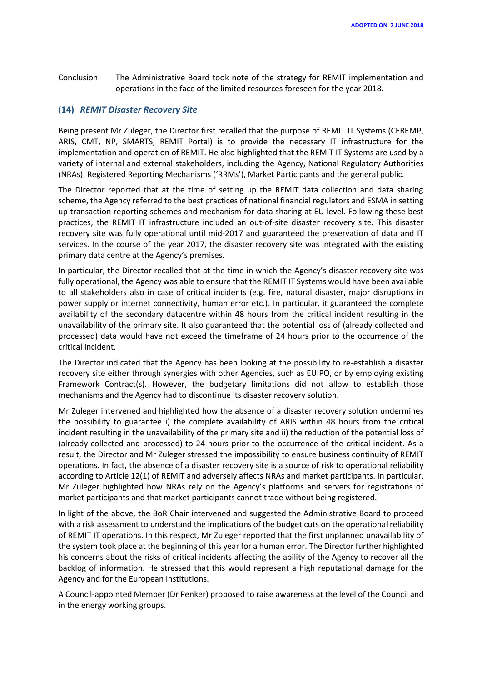Conclusion: The Administrative Board took note of the strategy for REMIT implementation and operations in the face of the limited resources foreseen for the year 2018.

#### **(14)** *REMIT Disaster Recovery Site*

Being present Mr Zuleger, the Director first recalled that the purpose of REMIT IT Systems (CEREMP, ARIS, CMT, NP, SMARTS, REMIT Portal) is to provide the necessary IT infrastructure for the implementation and operation of REMIT. He also highlighted that the REMIT IT Systems are used by a variety of internal and external stakeholders, including the Agency, National Regulatory Authorities (NRAs), Registered Reporting Mechanisms ('RRMs'), Market Participants and the general public.

The Director reported that at the time of setting up the REMIT data collection and data sharing scheme, the Agency referred to the best practices of national financial regulators and ESMA in setting up transaction reporting schemes and mechanism for data sharing at EU level. Following these best practices, the REMIT IT infrastructure included an out-of-site disaster recovery site. This disaster recovery site was fully operational until mid-2017 and guaranteed the preservation of data and IT services. In the course of the year 2017, the disaster recovery site was integrated with the existing primary data centre at the Agency's premises.

In particular, the Director recalled that at the time in which the Agency's disaster recovery site was fully operational, the Agency was able to ensure that the REMIT IT Systems would have been available to all stakeholders also in case of critical incidents (e.g. fire, natural disaster, major disruptions in power supply or internet connectivity, human error etc.). In particular, it guaranteed the complete availability of the secondary datacentre within 48 hours from the critical incident resulting in the unavailability of the primary site. It also guaranteed that the potential loss of (already collected and processed) data would have not exceed the timeframe of 24 hours prior to the occurrence of the critical incident.

The Director indicated that the Agency has been looking at the possibility to re-establish a disaster recovery site either through synergies with other Agencies, such as EUIPO, or by employing existing Framework Contract(s). However, the budgetary limitations did not allow to establish those mechanisms and the Agency had to discontinue its disaster recovery solution.

Mr Zuleger intervened and highlighted how the absence of a disaster recovery solution undermines the possibility to guarantee i) the complete availability of ARIS within 48 hours from the critical incident resulting in the unavailability of the primary site and ii) the reduction of the potential loss of (already collected and processed) to 24 hours prior to the occurrence of the critical incident. As a result, the Director and Mr Zuleger stressed the impossibility to ensure business continuity of REMIT operations. In fact, the absence of a disaster recovery site is a source of risk to operational reliability according to Article 12(1) of REMIT and adversely affects NRAs and market participants. In particular, Mr Zuleger highlighted how NRAs rely on the Agency's platforms and servers for registrations of market participants and that market participants cannot trade without being registered.

In light of the above, the BoR Chair intervened and suggested the Administrative Board to proceed with a risk assessment to understand the implications of the budget cuts on the operational reliability of REMIT IT operations. In this respect, Mr Zuleger reported that the first unplanned unavailability of the system took place at the beginning of this year for a human error. The Director further highlighted his concerns about the risks of critical incidents affecting the ability of the Agency to recover all the backlog of information. He stressed that this would represent a high reputational damage for the Agency and for the European Institutions.

A Council-appointed Member (Dr Penker) proposed to raise awareness at the level of the Council and in the energy working groups.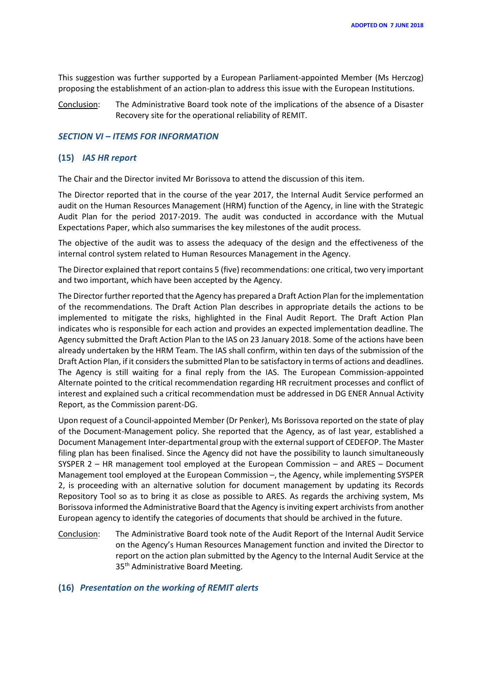This suggestion was further supported by a European Parliament-appointed Member (Ms Herczog) proposing the establishment of an action-plan to address this issue with the European Institutions.

Conclusion: The Administrative Board took note of the implications of the absence of a Disaster Recovery site for the operational reliability of REMIT.

#### *SECTION VI – ITEMS FOR INFORMATION*

#### **(15)** *IAS HR report*

The Chair and the Director invited Mr Borissova to attend the discussion of this item.

The Director reported that in the course of the year 2017, the Internal Audit Service performed an audit on the Human Resources Management (HRM) function of the Agency, in line with the Strategic Audit Plan for the period 2017-2019. The audit was conducted in accordance with the Mutual Expectations Paper, which also summarises the key milestones of the audit process.

The objective of the audit was to assess the adequacy of the design and the effectiveness of the internal control system related to Human Resources Management in the Agency.

The Director explained that report contains 5 (five) recommendations: one critical, two very important and two important, which have been accepted by the Agency.

The Director further reported that the Agency has prepared a Draft Action Plan for the implementation of the recommendations. The Draft Action Plan describes in appropriate details the actions to be implemented to mitigate the risks, highlighted in the Final Audit Report. The Draft Action Plan indicates who is responsible for each action and provides an expected implementation deadline. The Agency submitted the Draft Action Plan to the IAS on 23 January 2018. Some of the actions have been already undertaken by the HRM Team. The IAS shall confirm, within ten days of the submission of the Draft Action Plan, if it considers the submitted Plan to be satisfactory in terms of actions and deadlines. The Agency is still waiting for a final reply from the IAS. The European Commission-appointed Alternate pointed to the critical recommendation regarding HR recruitment processes and conflict of interest and explained such a critical recommendation must be addressed in DG ENER Annual Activity Report, as the Commission parent-DG.

Upon request of a Council-appointed Member (Dr Penker), Ms Borissova reported on the state of play of the Document-Management policy. She reported that the Agency, as of last year, established a Document Management Inter-departmental group with the external support of CEDEFOP. The Master filing plan has been finalised. Since the Agency did not have the possibility to launch simultaneously SYSPER 2 – HR management tool employed at the European Commission – and ARES – Document Management tool employed at the European Commission –, the Agency, while implementing SYSPER 2, is proceeding with an alternative solution for document management by updating its Records Repository Tool so as to bring it as close as possible to ARES. As regards the archiving system, Ms Borissova informed the Administrative Board that the Agency is inviting expert archivists from another European agency to identify the categories of documents that should be archived in the future.

Conclusion: The Administrative Board took note of the Audit Report of the Internal Audit Service on the Agency's Human Resources Management function and invited the Director to report on the action plan submitted by the Agency to the Internal Audit Service at the 35<sup>th</sup> Administrative Board Meeting.

#### **(16)** *Presentation on the working of REMIT alerts*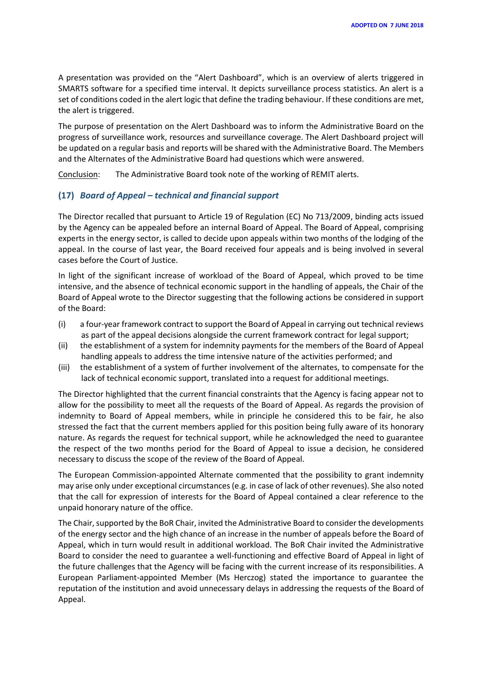A presentation was provided on the "Alert Dashboard", which is an overview of alerts triggered in SMARTS software for a specified time interval. It depicts surveillance process statistics. An alert is a set of conditions coded in the alert logic that define the trading behaviour. If these conditions are met, the alert is triggered.

The purpose of presentation on the Alert Dashboard was to inform the Administrative Board on the progress of surveillance work, resources and surveillance coverage. The Alert Dashboard project will be updated on a regular basis and reports will be shared with the Administrative Board. The Members and the Alternates of the Administrative Board had questions which were answered.

Conclusion: The Administrative Board took note of the working of REMIT alerts.

#### **(17)** *Board of Appeal – technical and financial support*

The Director recalled that pursuant to Article 19 of Regulation (EC) No 713/2009, binding acts issued by the Agency can be appealed before an internal Board of Appeal. The Board of Appeal, comprising experts in the energy sector, is called to decide upon appeals within two months of the lodging of the appeal. In the course of last year, the Board received four appeals and is being involved in several cases before the Court of Justice.

In light of the significant increase of workload of the Board of Appeal, which proved to be time intensive, and the absence of technical economic support in the handling of appeals, the Chair of the Board of Appeal wrote to the Director suggesting that the following actions be considered in support of the Board:

- (i) a four-year framework contract to support the Board of Appeal in carrying out technical reviews as part of the appeal decisions alongside the current framework contract for legal support;
- (ii) the establishment of a system for indemnity payments for the members of the Board of Appeal handling appeals to address the time intensive nature of the activities performed; and
- (iii) the establishment of a system of further involvement of the alternates, to compensate for the lack of technical economic support, translated into a request for additional meetings.

The Director highlighted that the current financial constraints that the Agency is facing appear not to allow for the possibility to meet all the requests of the Board of Appeal. As regards the provision of indemnity to Board of Appeal members, while in principle he considered this to be fair, he also stressed the fact that the current members applied for this position being fully aware of its honorary nature. As regards the request for technical support, while he acknowledged the need to guarantee the respect of the two months period for the Board of Appeal to issue a decision, he considered necessary to discuss the scope of the review of the Board of Appeal.

The European Commission-appointed Alternate commented that the possibility to grant indemnity may arise only under exceptional circumstances (e.g. in case of lack of other revenues). She also noted that the call for expression of interests for the Board of Appeal contained a clear reference to the unpaid honorary nature of the office.

The Chair, supported by the BoR Chair, invited the Administrative Board to consider the developments of the energy sector and the high chance of an increase in the number of appeals before the Board of Appeal, which in turn would result in additional workload. The BoR Chair invited the Administrative Board to consider the need to guarantee a well-functioning and effective Board of Appeal in light of the future challenges that the Agency will be facing with the current increase of its responsibilities. A European Parliament-appointed Member (Ms Herczog) stated the importance to guarantee the reputation of the institution and avoid unnecessary delays in addressing the requests of the Board of Appeal.